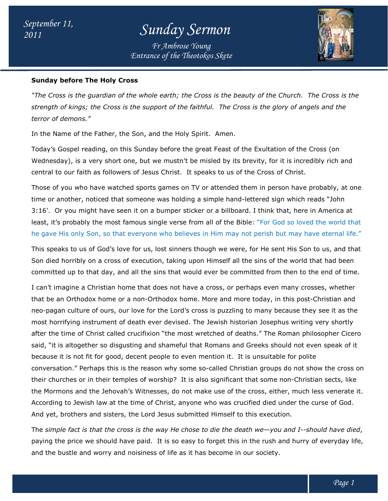*Entrance of the Theotokos Skete Fr Ambrose Young*



#### **Sunday before The Holy Cross**

*"The Cross is the guardian of the whole earth; the Cross is the beauty of the Church. The Cross is the*  "The Cross is the guardian of the whole earth; the Cross is the beauty of the Church. The Cross is<br>strength of kings; the Cross is the support of the faithful. The Cross is the glory of angels and the *terror of demons."*

In the Name of the Father, the Son, and the Holy Spirit. Amen.

In the Name of the Father, the Son, and the Holy Spirit. Amen.<br>Today's Gospel reading, on this Sunday before the great Feast of the Exultation of the Cross (on Wednesday), is a very short one, but we mustn't be misled by its brevity, for it is incredibly rich and central to our faith as followers of Jesus Christ. It speaks to us of the Cross of Christ.

Those of you who have watched sports games on TV or attended them in person have probably, at one time or another, noticed that someone was holding a simple hand-lettered sign which reads "John 3:16'. Or you might have seen it on a bumper sticker or a billboard. I think that, here in America at 3:16'. Or you might have seen it on a bumper sticker or a billboard. I think that, here in America at<br>least, it's probably the most famous single verse from all of the Bible: "For God so loved the world that he gave His only Son, so that everyone who believes in Him may not perish but may have eternal life." iesday), is a very short one, but we mustn't be misled by its brevity, for it is incredibly rich ar<br>al to our faith as followers of Jesus Christ. It speaks to us of the Cross of Christ.<br>e of you who have watched sports gam lettered sign which reads "John<br>d. I think that, here in America at<br>ble: "For God so loved the world that<br>lot perish but may have eternal life."

This speaks to us of God's love for us, lost sinners though we were, for He sent His Son to us, and that Son died horribly on a cross of execution, taking upon Himself all the sins of the world that had been committed up to that day, and all the sins that would ever be committed from then to the end of time. only Son, so that everyone who believes in Him may not perish but may have eternal life<br>to us of God's love for us, lost sinners though we were, for He sent His Son to us, and tha<br>ribly on a cross of execution, taking upon

I can't imagine a Christian home that does not have a cross, or perhaps even many crosses, whether committed up to that day, and all the sins that would ever be committed from then to the end of time<br>I can't imagine a Christian home that does not have a cross, or perhaps even many crosses, whether<br>that be an Orthodox ho neo-pagan culture of ours, our love for the Lord's cross is puzzling to many because they see it as the neo-pagan culture of ours, our love for the Lord's cross is puzzling to many because they see it as the<br>most horrifying instrument of death ever devised. The Jewish historian Josephus writing very shortly after the time of Christ called crucifixion "the most wretched of deaths." The Roman philosopher Cicero said, "it is altogether so disgusting and shameful that Romans and Greeks should not even speak of it because it is not fit for good, decent people to even mention it. It is unsuitable for polite conversation." Perhaps this is the reason why some so-called Christian groups do not show the cross on conversation." Perhaps this is the reason why some so-called Christian groups do not show the cross c<br>their churches or in their temples of worship? It is also significant that some non-Christian sects, like the Mormons and the Jehovah's Witnesses, do not make use of the cross, either, much less venerate it. According to Jewish law at the time of Christ, anyone who was crucified died under the curse of God. And yet, brothers and sisters, the Lord Jesus submitted Himself to this execution. execution. ind the Jehovah's Witnesses, do not make use of the cross, either, much less v<br>ewish law at the time of Christ, anyone who was crucified died under the curse<br>ers and sisters, the Lord Jesus submitted Himself to this execut istorian Josephus writing v<br>deaths." The Roman philo<br>and Greeks should not eve<br>It is unsuitable for polite God.

The *simple fact is that the cross is the way He chose to die the death we simple the way* —*you and I I--should have died*, paying the price we should have paid. It is so easy to forget this in the rush and hurry of everyday life, and the bustle and worry and noisiness of life as it has become in our society.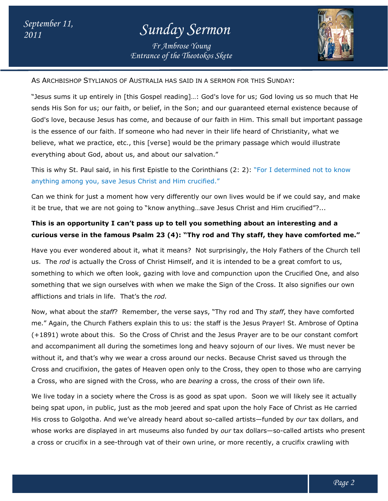### *<sup>2011</sup> Sunday Sermon*

*Entrance of the Theotokos Skete Fr Ambrose Young*



As Archbishop Stylianos of Australia has said in a sermon for this Sunday:

"Jesus sums it up entirely in [this Gospel reading]…: God's love for us; God loving us so much that He sends His Son for us; our faith, or belief, in the Son; and our guaranteed eternal existence because of God's love, because Jesus has come, and because of our faith in Him. This small but important passage is the essence of our faith. If someone who had never in their life heard of Christianity, what we God's love, because Jesus has come, and because of our faith in Him. This small but important passage<br>is the essence of our faith. If someone who had never in their life heard of Christianity, what we<br>believe, what we prac everything about God, about us, and about our salvation."

This is why St. Paul said, in his first Epistle to the Corinthians (2: 2): "For I determined not to know anything among you, save Jesus Christ and Him crucified."

Can we think for just a moment how very differently our own lives would be if we could say, and make Can we think for just a moment how very differently our own lives would be if we could say,<br>it be true, that we are not going to "know anything…save Jesus Christ and Him crucified"?...

### **This is an opportunity I can't pass up to tell you something about an interesting and a**  This is an opportunity I can't pass up to tell you something about an interesting and a<br>curious verse in the famous Psalm 23 (4): "Thy rod and Thy staff, they have comforted me."

Have you ever wondered about it, what it means? Not surprisingly, the Holy Fathers of the Church tell Have you ever wondered about it, what it means? Not surprisingly, the Holy Fathers of the Churc<br>us. The *rod* is actually the Cross of Christ Himself, and it is intended to be a great comfort to us, something to which we often look, gazing with love and compunction upon the Crucified One, and also something that we sign ourselves with when we make the Sign of the Cross. It also signifies our own afflictions and trials in life. That's the *rod.*

Now, what about the *staff*? Remember, the verse says, "Thy rod and Thy *staff*, they have comforted me." Again, the Church Fathers explain this to us: the staff is the Jesus Prayer! St. Ambrose of Optina (+1891) wrote about this. So the Cross of Christ and the Jesus Prayer are to be our constant comfort and accompaniment all during the sometimes long and heavy sojourn of our lives. We must never be without it, and that's why we wear a cross around our necks. Because Christ saved us through the Cross and crucifixion, the gates of Heaven open only to the Cross, they open to those who are carrying a Cross, who are signed with the Cross, who are *bearing* a cross, the cross of their own life. ) wrote about this. So the Cross of Christ and the Jesus Prayer are to be our constant comfort<br>ompaniment all during the sometimes long and heavy sojourn of our lives. We must never be<br>it, and that's why we wear a cross ar ve and compunction upon the Crucified One, and also<br>make the Sign of the Cross. It also signifies our own<br>e says, "Thy rod and Thy *staff*, they have comforted<br>i: the staff is the Jesus Prayer! St. Ambrose of Optina<br>t and

We live today in a society where the Cross is as good as spat upon. Soon we will likely see it actually being spat upon, in public, just as the mob jeered and spat upon the holy Face of Christ as He carried His cross to Golgotha. And we've already heard about so-called artists—funded by our tax dollars, and whose works are displayed in art museums also funded by *our* tax dollars—so-called artists who present a cross or crucifix in a see-through vat of their own urine, or more recently, a crucifix crawling with y in a society where the Cross is as good as spat upon. Soon we will likely<br>pon, in public, just as the mob jeered and spat upon the holy Face of Christ<br>Golgotha. And we've already heard about so-called artists—funded by